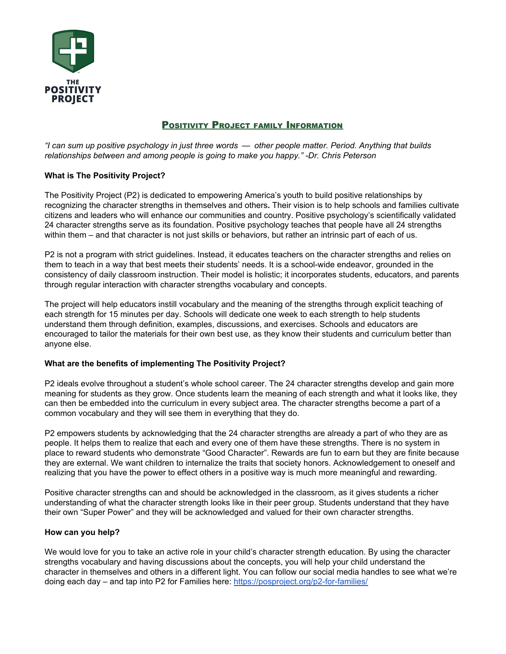

# POSITIVITY PROJECT FAMILY INFORMATION

"I can sum up positive psychology in just three words — other people matter. Period. Anything that builds *relationships between and among people is going to make you happy." -Dr. Chris Peterson*

#### **What is The Positivity Project?**

The Positivity Project (P2) is dedicated to empowering America's youth to build positive relationships by recognizing the character strengths in themselves and others**.** Their vision is to help schools and families cultivate citizens and leaders who will enhance our communities and country. Positive psychology's scientifically validated 24 character strengths serve as its foundation. Positive psychology teaches that people have all 24 strengths within them – and that character is not just skills or behaviors, but rather an intrinsic part of each of us.

P2 is not a program with strict guidelines. Instead, it educates teachers on the character strengths and relies on them to teach in a way that best meets their students' needs. It is a school-wide endeavor, grounded in the consistency of daily classroom instruction. Their model is holistic; it incorporates students, educators, and parents through regular interaction with character strengths vocabulary and concepts.

The project will help educators instill vocabulary and the meaning of the strengths through explicit teaching of each strength for 15 minutes per day. Schools will dedicate one week to each strength to help students understand them through definition, examples, discussions, and exercises. Schools and educators are encouraged to tailor the materials for their own best use, as they know their students and curriculum better than anyone else.

#### **What are the benefits of implementing The Positivity Project?**

P2 ideals evolve throughout a student's whole school career. The 24 character strengths develop and gain more meaning for students as they grow. Once students learn the meaning of each strength and what it looks like, they can then be embedded into the curriculum in every subject area. The character strengths become a part of a common vocabulary and they will see them in everything that they do.

P2 empowers students by acknowledging that the 24 character strengths are already a part of who they are as people. It helps them to realize that each and every one of them have these strengths. There is no system in place to reward students who demonstrate "Good Character". Rewards are fun to earn but they are finite because they are external. We want children to internalize the traits that society honors. Acknowledgement to oneself and realizing that you have the power to effect others in a positive way is much more meaningful and rewarding.

Positive character strengths can and should be acknowledged in the classroom, as it gives students a richer understanding of what the character strength looks like in their peer group. Students understand that they have their own "Super Power" and they will be acknowledged and valued for their own character strengths.

#### **How can you help?**

We would love for you to take an active role in your child's character strength education. By using the character strengths vocabulary and having discussions about the concepts, you will help your child understand the character in themselves and others in a different light. You can follow our social media handles to see what we're doing each day – and tap into P2 for Families here: <https://posproject.org/p2-for-families/>